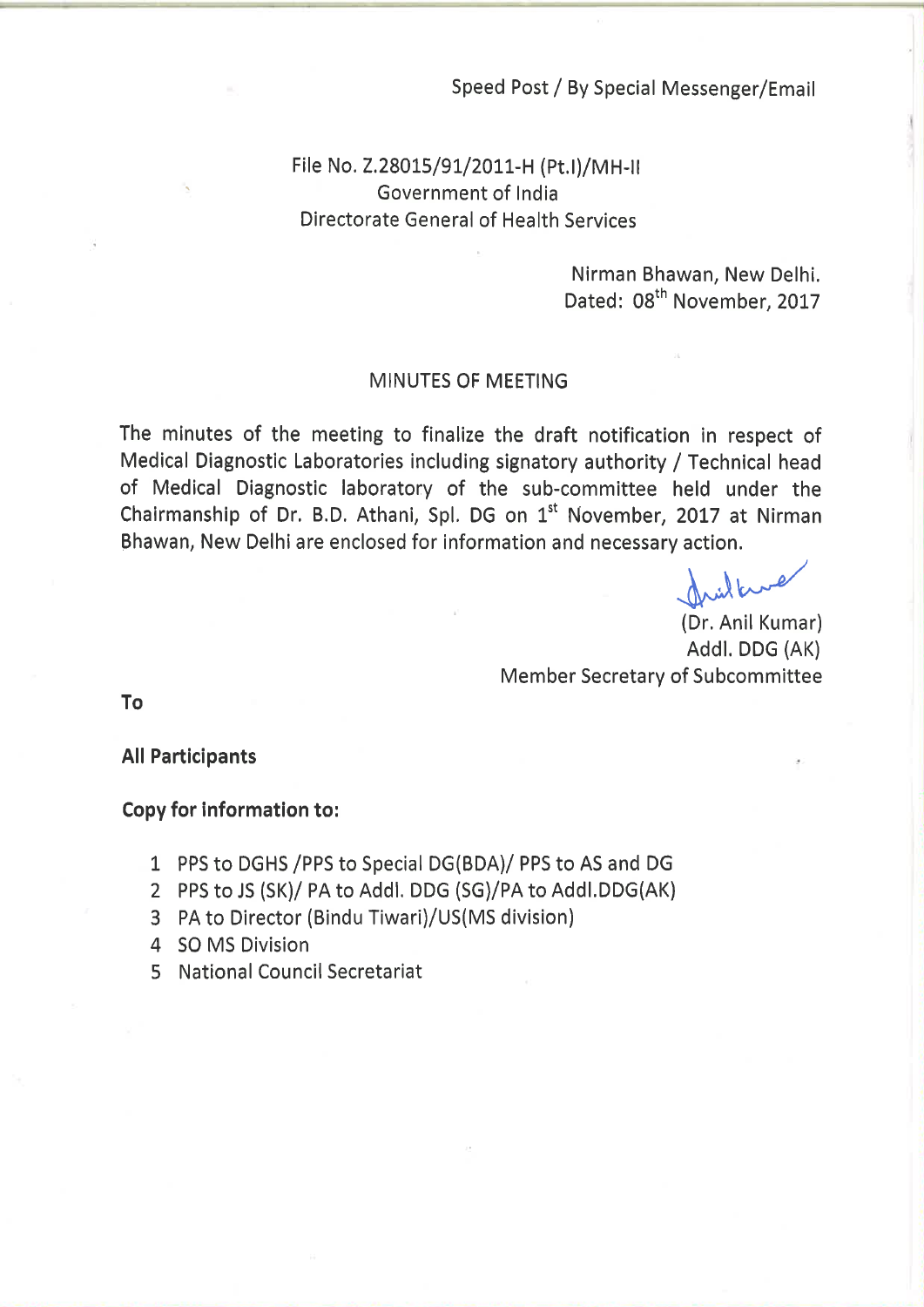## Speed Post / By Special Messenger/Email

# File No. Z.28015/91/2011-H (Pt.I)/MH-II Government of India **Directorate General of Health Services**

Nirman Bhawan, New Delhi. Dated: 08<sup>th</sup> November, 2017

#### **MINUTES OF MEETING**

The minutes of the meeting to finalize the draft notification in respect of Medical Diagnostic Laboratories including signatory authority / Technical head of Medical Diagnostic laboratory of the sub-committee held under the Chairmanship of Dr. B.D. Athani, Spl. DG on 1<sup>st</sup> November, 2017 at Nirman Bhawan, New Delhi are enclosed for information and necessary action.

(Dr. Anil Kumar) Addl. DDG (AK) **Member Secretary of Subcommittee** 

To

**All Participants** 

### **Copy for information to:**

- 1 PPS to DGHS / PPS to Special DG(BDA)/ PPS to AS and DG
- 2 PPS to JS (SK)/ PA to Addl. DDG (SG)/PA to Addl.DDG(AK)
- 3 PA to Director (Bindu Tiwari)/US(MS division)
- 4 SO MS Division
- 5 National Council Secretariat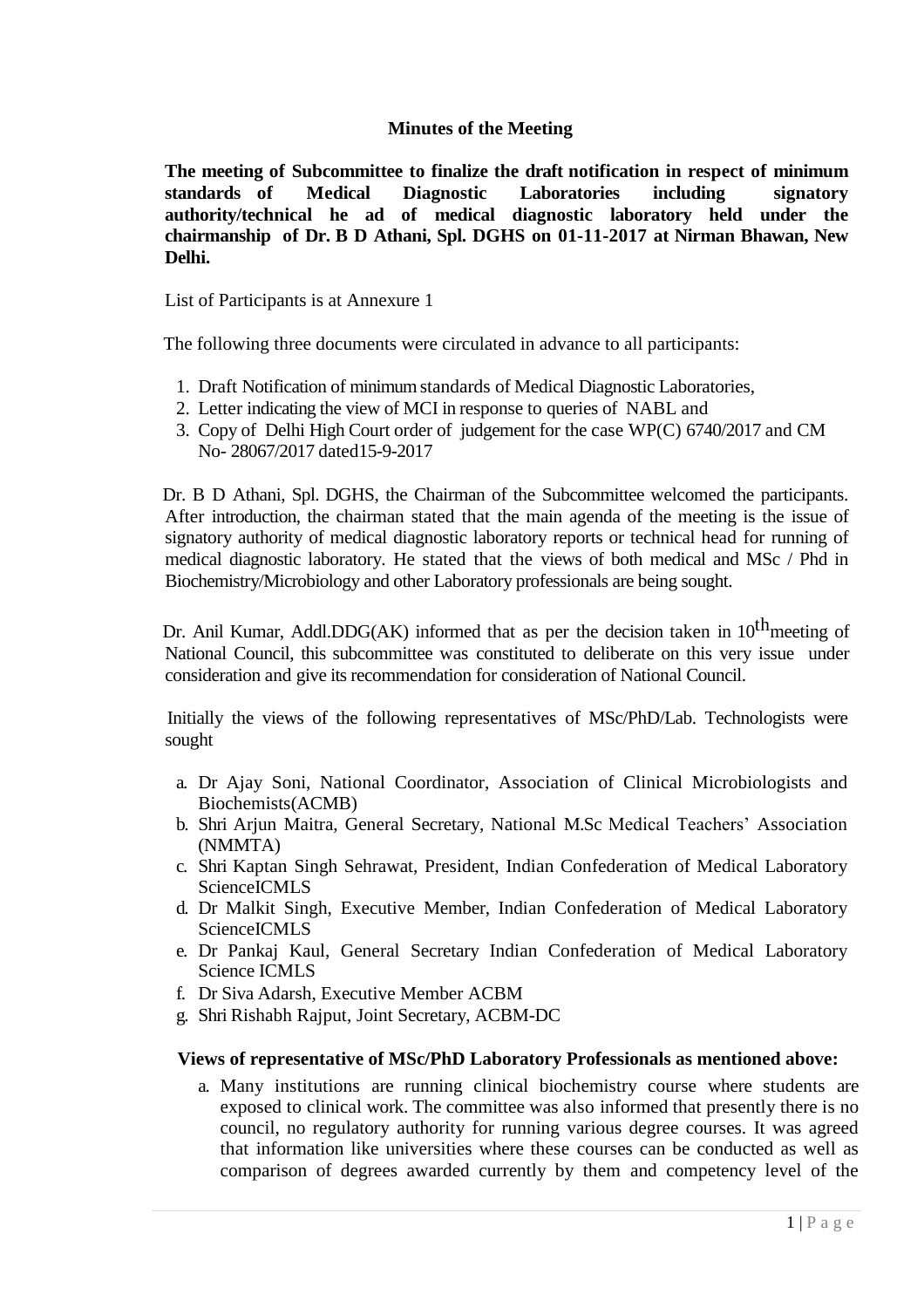# **Minutes of the Meeting**

**The meeting of Subcommittee to finalize the draft notification in respect of minimum standards of Medical Diagnostic Laboratories including signatory authority/technical he ad of medical diagnostic laboratory held under the chairmanship of Dr. B D Athani, Spl. DGHS on 01-11-2017 at Nirman Bhawan, New Delhi.**

List of Participants is at Annexure 1

The following three documents were circulated in advance to all participants:

- 1. Draft Notification of minimum standards of Medical Diagnostic Laboratories,
- 2. Letter indicating the view of MCI in response to queries of NABL and
- 3. Copy of Delhi High Court order of judgement for the case WP(C) 6740/2017 and CM No- 28067/2017 dated15-9-2017

 Dr. B D Athani, Spl. DGHS, the Chairman of the Subcommittee welcomed the participants. After introduction, the chairman stated that the main agenda of the meeting is the issue of signatory authority of medical diagnostic laboratory reports or technical head for running of medical diagnostic laboratory. He stated that the views of both medical and MSc / Phd in Biochemistry/Microbiology and other Laboratory professionals are being sought.

Dr. Anil Kumar, Addl.DDG(AK) informed that as per the decision taken in  $10^{th}$  meeting of National Council, this subcommittee was constituted to deliberate on this very issue under consideration and give its recommendation for consideration of National Council.

 Initially the views of the following representatives of MSc/PhD/Lab. Technologists were sought

- a. Dr Ajay Soni, National Coordinator, Association of Clinical Microbiologists and Biochemists(ACMB)
- b. Shri Arjun Maitra, General Secretary, National M.Sc Medical Teachers' Association (NMMTA)
- c. Shri Kaptan Singh Sehrawat, President, Indian Confederation of Medical Laboratory ScienceICMLS
- d. Dr Malkit Singh, Executive Member, Indian Confederation of Medical Laboratory **ScienceICMLS**
- e. Dr Pankaj Kaul, General Secretary Indian Confederation of Medical Laboratory Science ICMLS
- f. Dr Siva Adarsh, Executive Member ACBM
- g. Shri Rishabh Rajput, Joint Secretary, ACBM-DC

#### **Views of representative of MSc/PhD Laboratory Professionals as mentioned above:**

a. Many institutions are running clinical biochemistry course where students are exposed to clinical work. The committee was also informed that presently there is no council, no regulatory authority for running various degree courses. It was agreed that information like universities where these courses can be conducted as well as comparison of degrees awarded currently by them and competency level of the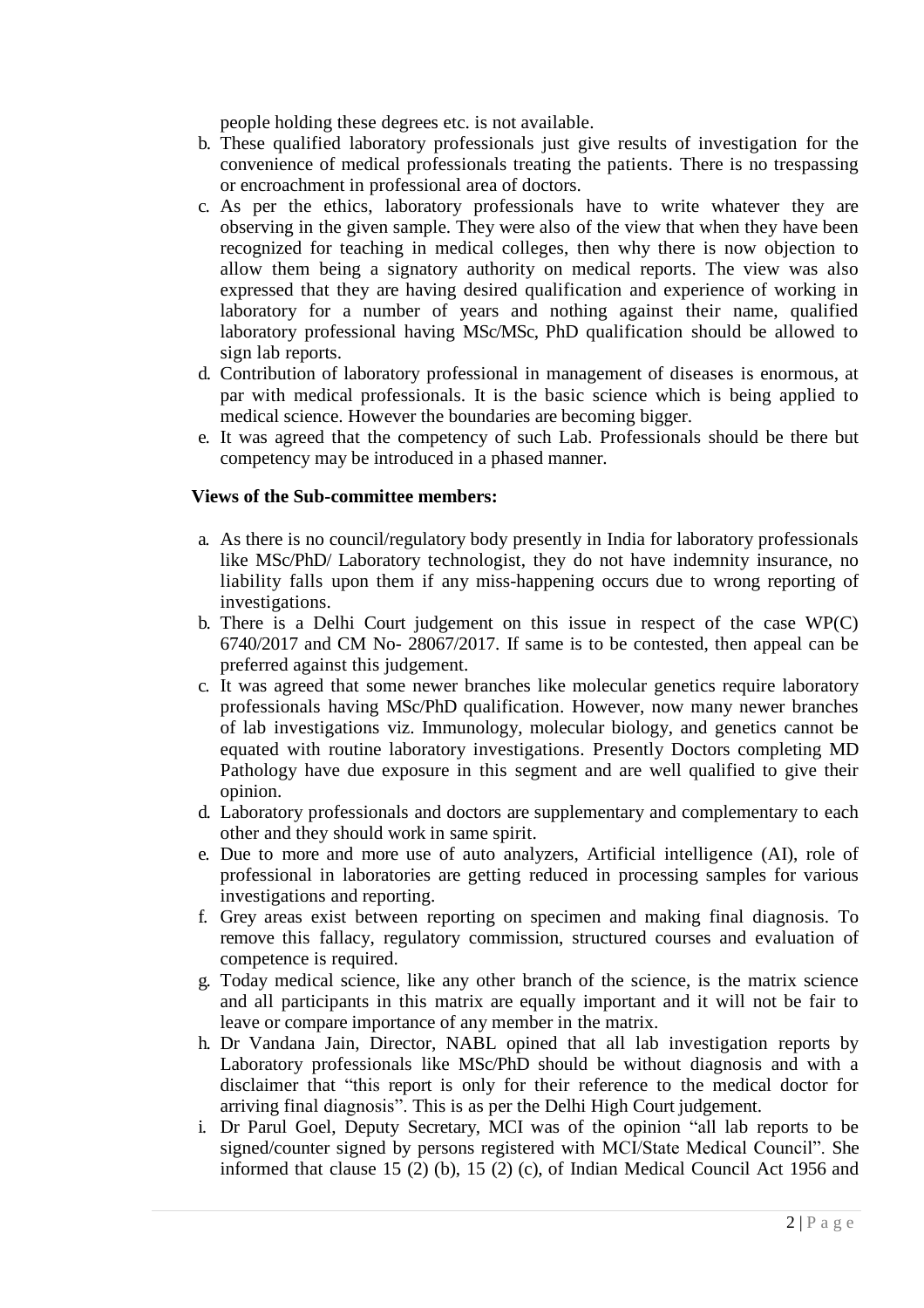people holding these degrees etc. is not available.

- b. These qualified laboratory professionals just give results of investigation for the convenience of medical professionals treating the patients. There is no trespassing or encroachment in professional area of doctors.
- c. As per the ethics, laboratory professionals have to write whatever they are observing in the given sample. They were also of the view that when they have been recognized for teaching in medical colleges, then why there is now objection to allow them being a signatory authority on medical reports. The view was also expressed that they are having desired qualification and experience of working in laboratory for a number of years and nothing against their name, qualified laboratory professional having MSc/MSc, PhD qualification should be allowed to sign lab reports.
- d. Contribution of laboratory professional in management of diseases is enormous, at par with medical professionals. It is the basic science which is being applied to medical science. However the boundaries are becoming bigger.
- e. It was agreed that the competency of such Lab. Professionals should be there but competency may be introduced in a phased manner.

### **Views of the Sub-committee members:**

- a. As there is no council/regulatory body presently in India for laboratory professionals like MSc/PhD/ Laboratory technologist, they do not have indemnity insurance, no liability falls upon them if any miss-happening occurs due to wrong reporting of investigations.
- b. There is a Delhi Court judgement on this issue in respect of the case WP(C) 6740/2017 and CM No- 28067/2017. If same is to be contested, then appeal can be preferred against this judgement.
- c. It was agreed that some newer branches like molecular genetics require laboratory professionals having MSc/PhD qualification. However, now many newer branches of lab investigations viz. Immunology, molecular biology, and genetics cannot be equated with routine laboratory investigations. Presently Doctors completing MD Pathology have due exposure in this segment and are well qualified to give their opinion.
- d. Laboratory professionals and doctors are supplementary and complementary to each other and they should work in same spirit.
- e. Due to more and more use of auto analyzers, Artificial intelligence (AI), role of professional in laboratories are getting reduced in processing samples for various investigations and reporting.
- f. Grey areas exist between reporting on specimen and making final diagnosis. To remove this fallacy, regulatory commission, structured courses and evaluation of competence is required.
- g. Today medical science, like any other branch of the science, is the matrix science and all participants in this matrix are equally important and it will not be fair to leave or compare importance of any member in the matrix.
- h. Dr Vandana Jain, Director, NABL opined that all lab investigation reports by Laboratory professionals like MSc/PhD should be without diagnosis and with a disclaimer that "this report is only for their reference to the medical doctor for arriving final diagnosis". This is as per the Delhi High Court judgement.
- i. Dr Parul Goel, Deputy Secretary, MCI was of the opinion "all lab reports to be signed/counter signed by persons registered with MCI/State Medical Council". She informed that clause 15 (2) (b), 15 (2) (c), of Indian Medical Council Act 1956 and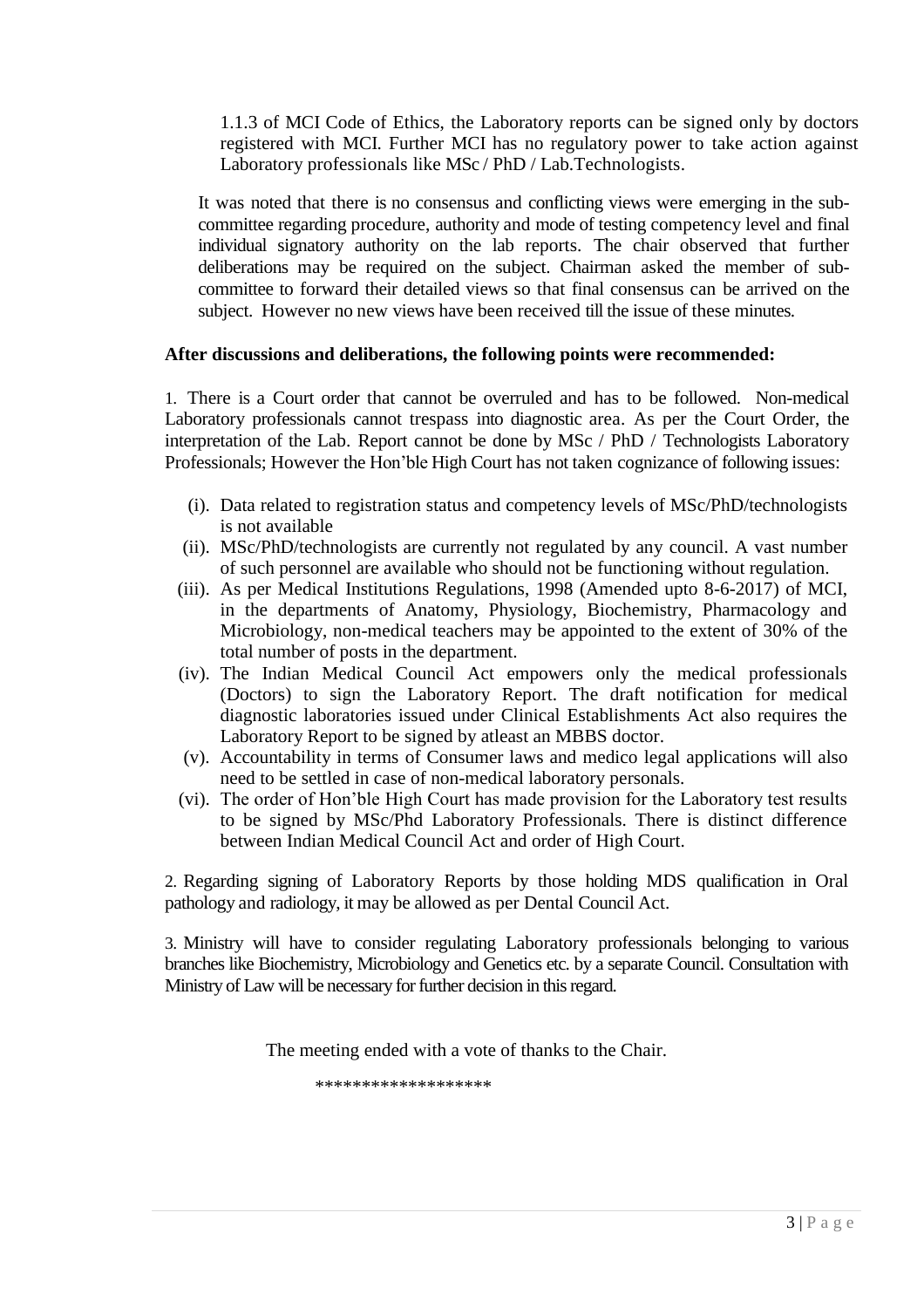1.1.3 of MCI Code of Ethics, the Laboratory reports can be signed only by doctors registered with MCI. Further MCI has no regulatory power to take action against Laboratory professionals like MSc / PhD / Lab.Technologists.

It was noted that there is no consensus and conflicting views were emerging in the subcommittee regarding procedure, authority and mode of testing competency level and final individual signatory authority on the lab reports. The chair observed that further deliberations may be required on the subject. Chairman asked the member of subcommittee to forward their detailed views so that final consensus can be arrived on the subject. However no new views have been received till the issue of these minutes.

## **After discussions and deliberations, the following points were recommended:**

1. There is a Court order that cannot be overruled and has to be followed. Non-medical Laboratory professionals cannot trespass into diagnostic area. As per the Court Order, the interpretation of the Lab. Report cannot be done by MSc / PhD / Technologists Laboratory Professionals; However the Hon'ble High Court has not taken cognizance of following issues:

- (i). Data related to registration status and competency levels of MSc/PhD/technologists is not available
- (ii). MSc/PhD/technologists are currently not regulated by any council. A vast number of such personnel are available who should not be functioning without regulation.
- (iii). As per Medical Institutions Regulations, 1998 (Amended upto 8-6-2017) of MCI, in the departments of Anatomy, Physiology, Biochemistry, Pharmacology and Microbiology, non-medical teachers may be appointed to the extent of 30% of the total number of posts in the department.
- (iv). The Indian Medical Council Act empowers only the medical professionals (Doctors) to sign the Laboratory Report. The draft notification for medical diagnostic laboratories issued under Clinical Establishments Act also requires the Laboratory Report to be signed by atleast an MBBS doctor.
- (v). Accountability in terms of Consumer laws and medico legal applications will also need to be settled in case of non-medical laboratory personals.
- (vi). The order of Hon'ble High Court has made provision for the Laboratory test results to be signed by MSc/Phd Laboratory Professionals. There is distinct difference between Indian Medical Council Act and order of High Court.

2. Regarding signing of Laboratory Reports by those holding MDS qualification in Oral pathology and radiology, it may be allowed as per Dental Council Act.

3. Ministry will have to consider regulating Laboratory professionals belonging to various branches like Biochemistry, Microbiology and Genetics etc. by a separate Council. Consultation with Ministry of Law will be necessary for further decision in this regard.

The meeting ended with a vote of thanks to the Chair.

\*\*\*\*\*\*\*\*\*\*\*\*\*\*\*\*\*\*\*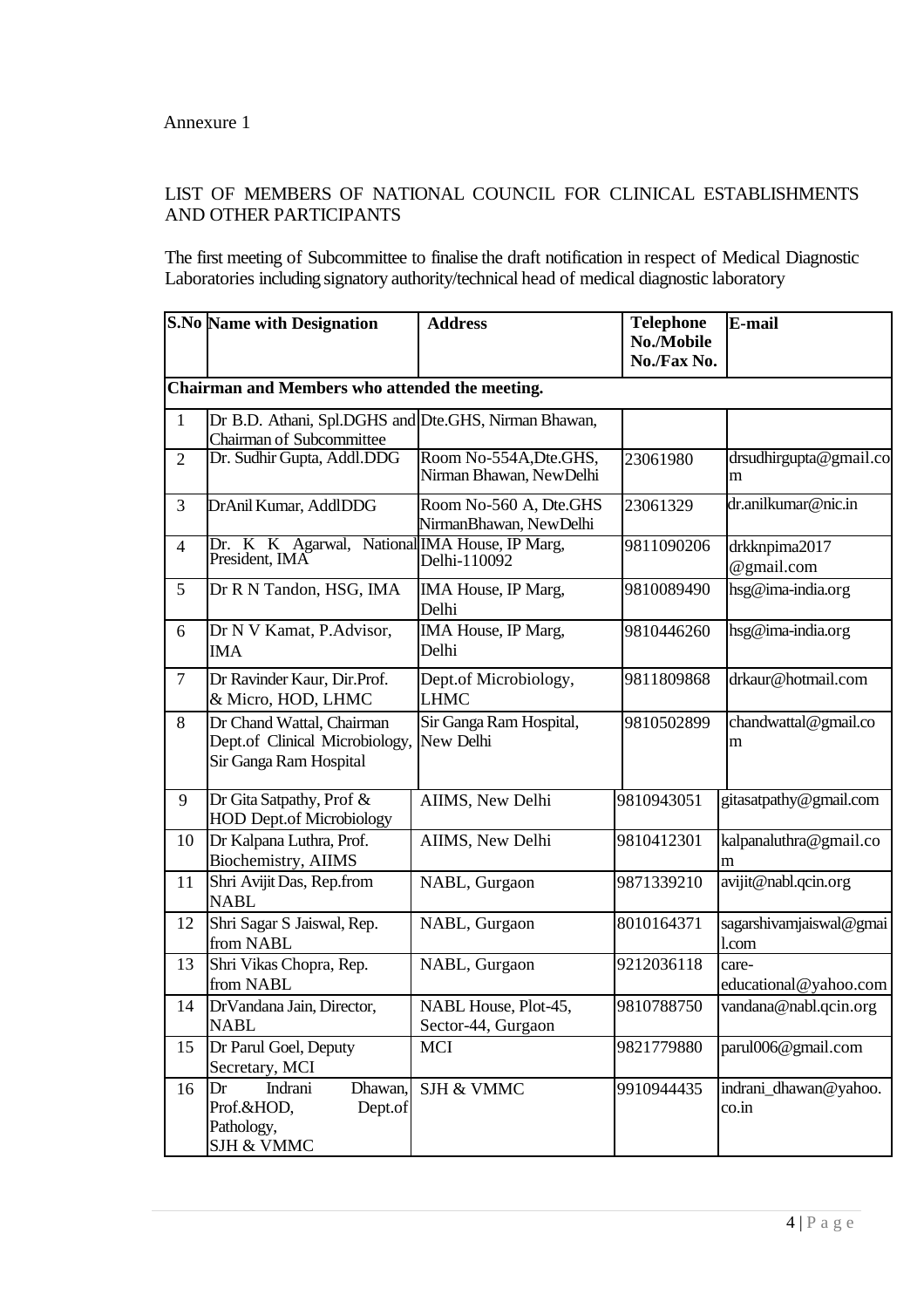# LIST OF MEMBERS OF NATIONAL COUNCIL FOR CLINICAL ESTABLISHMENTS AND OTHER PARTICIPANTS

The first meeting of Subcommittee to finalise the draft notification in respect of Medical Diagnostic Laboratories including signatory authority/technical head of medical diagnostic laboratory

|                          | <b>S.No Name with Designation</b>                                                     | <b>Address</b>                                     | <b>Telephone</b><br>No./Mobile<br>No./Fax No. | E-mail                           |
|--------------------------|---------------------------------------------------------------------------------------|----------------------------------------------------|-----------------------------------------------|----------------------------------|
|                          | Chairman and Members who attended the meeting.                                        |                                                    |                                               |                                  |
| $\mathbf{1}$             | Dr B.D. Athani, Spl.DGHS and Dte.GHS, Nirman Bhawan,<br>Chairman of Subcommittee      |                                                    |                                               |                                  |
| $\overline{2}$           | Dr. Sudhir Gupta, Addl.DDG                                                            | Room No-554A, Dte. GHS,<br>Nirman Bhawan, NewDelhi | 23061980                                      | drsudhirgupta@gmail.co<br>m      |
| 3                        | DrAnil Kumar, AddlDDG                                                                 | Room No-560 A, Dte.GHS<br>NirmanBhawan, NewDelhi   | 23061329                                      | dr.anilkumar@nic.in              |
| $\overline{\mathcal{A}}$ | Dr. K K Agarwal, National IMA House, IP Marg,<br>President, IMA                       | Delhi-110092                                       | 9811090206                                    | drkknpima2017<br>@gmail.com      |
| 5                        | Dr R N Tandon, HSG, IMA                                                               | IMA House, IP Marg,<br>Delhi                       | 9810089490                                    | hsg@ima-india.org                |
| 6                        | Dr N V Kamat, P.Advisor,<br><b>IMA</b>                                                | IMA House, IP Marg,<br>Delhi                       | 9810446260                                    | hsg@ima-india.org                |
| $\overline{7}$           | Dr Ravinder Kaur, Dir.Prof.<br>& Micro, HOD, LHMC                                     | Dept.of Microbiology,<br><b>LHMC</b>               | 9811809868                                    | drkaur@hotmail.com               |
| 8                        | Dr Chand Wattal, Chairman<br>Dept.of Clinical Microbiology,<br>Sir Ganga Ram Hospital | Sir Ganga Ram Hospital,<br>New Delhi               | 9810502899                                    | chandwattal@gmail.co<br>m        |
| 9                        | Dr Gita Satpathy, Prof &<br><b>HOD Dept.of Microbiology</b>                           | AIIMS, New Delhi                                   | 9810943051                                    | gitasatpathy@gmail.com           |
| 10                       | Dr Kalpana Luthra, Prof.<br>Biochemistry, AIIMS                                       | AIIMS, New Delhi                                   | 9810412301                                    | kalpanaluthra@gmail.co<br>m      |
| 11                       | Shri Avijit Das, Rep.from<br><b>NABL</b>                                              | NABL, Gurgaon                                      | 9871339210                                    | avijit@nabl.qcin.org             |
| 12                       | Shri Sagar S Jaiswal, Rep.<br>from NABL                                               | NABL, Gurgaon                                      | 8010164371                                    | sagarshivamjaiswal@gmai<br>l.com |
| 13                       | Shri Vikas Chopra, Rep.<br>from NABL                                                  | NABL, Gurgaon                                      | 9212036118                                    | care-<br>educational@yahoo.com   |
| 14                       | DrVandana Jain, Director,<br><b>NABL</b>                                              | NABL House, Plot-45,<br>Sector-44, Gurgaon         | 9810788750                                    | vandana@nabl.qcin.org            |
| 15                       | Dr Parul Goel, Deputy<br>Secretary, MCI                                               | <b>MCI</b>                                         | 9821779880                                    | parul006@gmail.com               |
| 16                       | Indrani<br>Dr<br>Dhawan,<br>Prof.&HOD,<br>Dept.of<br>Pathology,<br>SJH & VMMC         | SJH & VMMC                                         | 9910944435                                    | indrani_dhawan@yahoo.<br>co.in   |